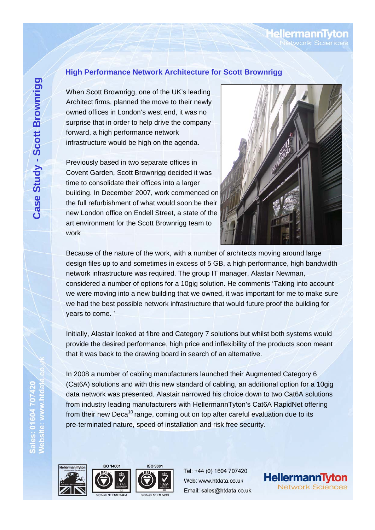# ellermann

#### **High Performance Network Architecture for Scott Brownrigg**

When Scott Brownrigg, one of the UK's leading Architect firms, planned the move to their newly owned offices in London's west end, it was no surprise that in order to help drive the company forward, a high performance network infrastructure would be high on the agenda.

Previously based in two separate offices in Covent Garden, Scott Brownrigg decided it was time to consolidate their offices into a larger building. In December 2007, work commenced on the full refurbishment of what would soon be their new London office on Endell Street, a state of the art environment for the Scott Brownrigg team to work



Because of the nature of the work, with a number of architects moving around large design files up to and sometimes in excess of 5 GB, a high performance, high bandwidth network infrastructure was required. The group IT manager, Alastair Newman, considered a number of options for a 10gig solution. He comments 'Taking into account we were moving into a new building that we owned, it was important for me to make sure we had the best possible network infrastructure that would future proof the building for years to come. '

Initially, Alastair looked at fibre and Category 7 solutions but whilst both systems would provide the desired performance, high price and inflexibility of the products soon meant that it was back to the drawing board in search of an alternative.

In 2008 a number of cabling manufacturers launched their Augmented Category 6 (Cat6A) solutions and with this new standard of cabling, an additional option for a 10gig data network was presented. Alastair narrowed his choice down to two Cat6A solutions from industry leading manufacturers with HellermannTyton's Cat6A RapidNet offering from their new Deca<sup>10</sup> range, coming out on top after careful evaluation due to its pre-terminated nature, speed of installation and risk free security.



Sales: 01604 70742<br>Website: www.htda





**ISO 9001** 

Tel: +44 (0) 1604 707420 Web: www.htdata.co.uk Email: sales@htdata.co.uk

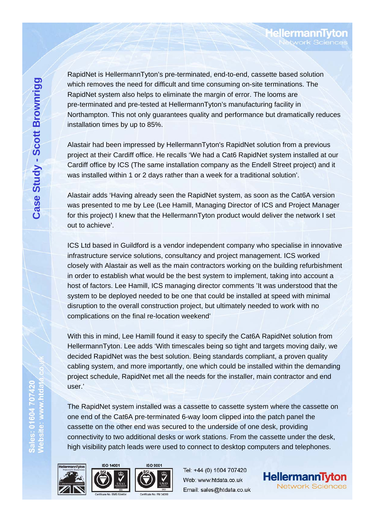RapidNet is HellermannTyton's pre-terminated, end-to-end, cassette based solution which removes the need for difficult and time consuming on-site terminations. The RapidNet system also helps to eliminate the margin of error. The looms are pre-terminated and pre-tested at HellermannTyton's manufacturing facility in Northampton. This not only guarantees quality and performance but dramatically reduces installation times by up to 85%.

Alastair had been impressed by HellermannTyton's RapidNet solution from a previous project at their Cardiff office. He recalls 'We had a Cat6 RapidNet system installed at our Cardiff office by ICS (The same installation company as the Endell Street project) and it was installed within 1 or 2 days rather than a week for a traditional solution'.

Alastair adds 'Having already seen the RapidNet system, as soon as the Cat6A version was presented to me by Lee (Lee Hamill, Managing Director of ICS and Project Manager for this project) I knew that the HellermannTyton product would deliver the network I set out to achieve'.

ICS Ltd based in Guildford is a vendor independent company who specialise in innovative infrastructure service solutions, consultancy and project management. ICS worked closely with Alastair as well as the main contractors working on the building refurbishment in order to establish what would be the best system to implement, taking into account a host of factors. Lee Hamill, ICS managing director comments 'It was understood that the system to be deployed needed to be one that could be installed at speed with minimal disruption to the overall construction project, but ultimately needed to work with no complications on the final re-location weekend'

With this in mind, Lee Hamill found it easy to specify the Cat6A RapidNet solution from HellermannTyton. Lee adds 'With timescales being so tight and targets moving daily, we decided RapidNet was the best solution. Being standards compliant, a proven quality cabling system, and more importantly, one which could be installed within the demanding project schedule, RapidNet met all the needs for the installer, main contractor and end user.'

The RapidNet system installed was a cassette to cassette system where the cassette on one end of the Cat6A pre-terminated 6-way loom clipped into the patch panel the cassette on the other end was secured to the underside of one desk, providing connectivity to two additional desks or work stations. From the cassette under the desk, high visibility patch leads were used to connect to desktop computers and telephones.



Sales: 01604 707420<br>Website: www.htdat





Tel: +44 (0) 1604 707420 Web: www.htdata.co.uk Email: sales@htdata.co.uk



**HellermannTytor**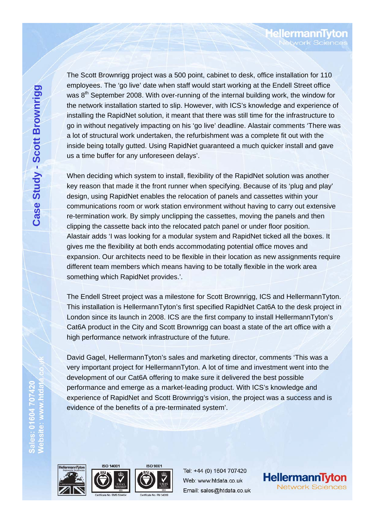The Scott Brownrigg project was a 500 point, cabinet to desk, office installation for 110 employees. The 'go live' date when staff would start working at the Endell Street office was 8<sup>th</sup> September 2008. With over-running of the internal building work, the window for the network installation started to slip. However, with ICS's knowledge and experience of installing the RapidNet solution, it meant that there was still time for the infrastructure to go in without negatively impacting on his 'go live' deadline. Alastair comments 'There was a lot of structural work undertaken, the refurbishment was a complete fit out with the inside being totally gutted. Using RapidNet guaranteed a much quicker install and gave us a time buffer for any unforeseen delays'.

When deciding which system to install, flexibility of the RapidNet solution was another key reason that made it the front runner when specifying. Because of its 'plug and play' design, using RapidNet enables the relocation of panels and cassettes within your communications room or work station environment without having to carry out extensive re-termination work. By simply unclipping the cassettes, moving the panels and then clipping the cassette back into the relocated patch panel or under floor position. Alastair adds 'I was looking for a modular system and RapidNet ticked all the boxes. It gives me the flexibility at both ends accommodating potential office moves and expansion. Our architects need to be flexible in their location as new assignments require different team members which means having to be totally flexible in the work area something which RapidNet provides.'.

The Endell Street project was a milestone for Scott Brownrigg, ICS and HellermannTyton. This installation is HellermannTyton's first specified RapidNet Cat6A to the desk project in London since its launch in 2008. ICS are the first company to install HellermannTyton's Cat6A product in the City and Scott Brownrigg can boast a state of the art office with a high performance network infrastructure of the future.

David Gagel, HellermannTyton's sales and marketing director, comments 'This was a very important project for HellermannTyton. A lot of time and investment went into the development of our Cat6A offering to make sure it delivered the best possible performance and emerge as a market-leading product. With ICS's knowledge and experience of RapidNet and Scott Brownrigg's vision, the project was a success and is evidence of the benefits of a pre-terminated system'.



Sales: 01604 70742<br>Website: www.htda





**ISO 9001** 

Tel: +44 (0) 1604 707420 Web: www.htdata.co.uk Email: sales@htdata.co.uk



**MellermannT**